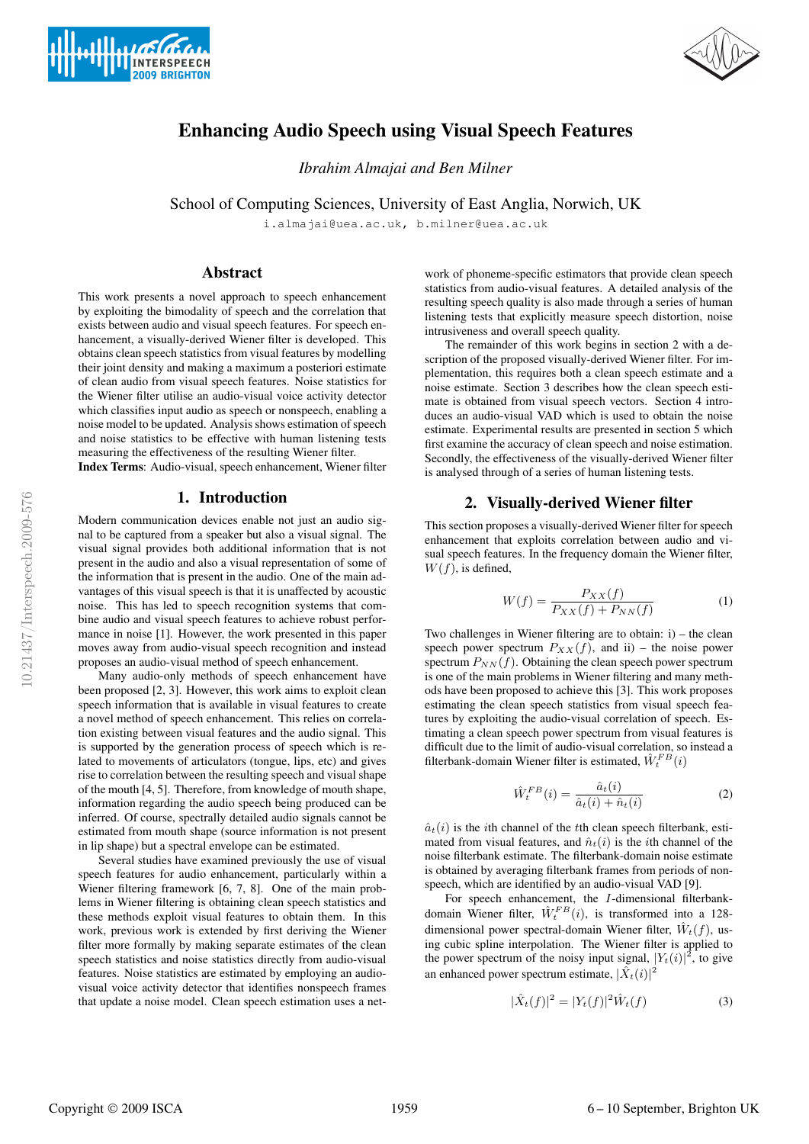



# Enhancing Audio Speech using Visual Speech Features

*Ibrahim Almajai and Ben Milner*

School of Computing Sciences, University of East Anglia, Norwich, UK

i.almajai@uea.ac.uk, b.milner@uea.ac.uk

# Abstract

This work presents a novel approach to speech enhancement by exploiting the bimodality of speech and the correlation that exists between audio and visual speech features. For speech enhancement, a visually-derived Wiener filter is developed. This obtains clean speech statistics from visual features by modelling their joint density and making a maximum a posteriori estimate of clean audio from visual speech features. Noise statistics for the Wiener filter utilise an audio-visual voice activity detector which classifies input audio as speech or nonspeech, enabling a noise model to be updated. Analysis shows estimation of speech and noise statistics to be effective with human listening tests measuring the effectiveness of the resulting Wiener filter.

Index Terms: Audio-visual, speech enhancement, Wiener filter

# 1. Introduction

Modern communication devices enable not just an audio signal to be captured from a speaker but also a visual signal. The visual signal provides both additional information that is not present in the audio and also a visual representation of some of the information that is present in the audio. One of the main advantages of this visual speech is that it is unaffected by acoustic noise. This has led to speech recognition systems that combine audio and visual speech features to achieve robust performance in noise [1]. However, the work presented in this paper moves away from audio-visual speech recognition and instead proposes an audio-visual method of speech enhancement.

Many audio-only methods of speech enhancement have been proposed [2, 3]. However, this work aims to exploit clean speech information that is available in visual features to create a novel method of speech enhancement. This relies on correlation existing between visual features and the audio signal. This is supported by the generation process of speech which is related to movements of articulators (tongue, lips, etc) and gives rise to correlation between the resulting speech and visual shape of the mouth [4, 5]. Therefore, from knowledge of mouth shape, information regarding the audio speech being produced can be inferred. Of course, spectrally detailed audio signals cannot be estimated from mouth shape (source information is not present in lip shape) but a spectral envelope can be estimated.

Several studies have examined previously the use of visual speech features for audio enhancement, particularly within a Wiener filtering framework [6, 7, 8]. One of the main problems in Wiener filtering is obtaining clean speech statistics and these methods exploit visual features to obtain them. In this work, previous work is extended by first deriving the Wiener filter more formally by making separate estimates of the clean speech statistics and noise statistics directly from audio-visual features. Noise statistics are estimated by employing an audiovisual voice activity detector that identifies nonspeech frames that update a noise model. Clean speech estimation uses a net-

work of phoneme-specific estimators that provide clean speech statistics from audio-visual features. A detailed analysis of the resulting speech quality is also made through a series of human listening tests that explicitly measure speech distortion, noise intrusiveness and overall speech quality.

The remainder of this work begins in section 2 with a description of the proposed visually-derived Wiener filter. For implementation, this requires both a clean speech estimate and a noise estimate. Section 3 describes how the clean speech estimate is obtained from visual speech vectors. Section 4 introduces an audio-visual VAD which is used to obtain the noise estimate. Experimental results are presented in section 5 which first examine the accuracy of clean speech and noise estimation. Secondly, the effectiveness of the visually-derived Wiener filter is analysed through of a series of human listening tests.

## 2. Visually-derived Wiener filter

This section proposes a visually-derived Wiener filter for speech enhancement that exploits correlation between audio and visual speech features. In the frequency domain the Wiener filter,  $W(f)$ , is defined,

$$
W(f) = \frac{P_{XX}(f)}{P_{XX}(f) + P_{NN}(f)}
$$
(1)

Two challenges in Wiener filtering are to obtain: i) – the clean speech power spectrum  $P_{XX}(f)$ , and ii) – the noise power spectrum  $P_{NN}(f)$ . Obtaining the clean speech power spectrum is one of the main problems in Wiener filtering and many methods have been proposed to achieve this [3]. This work proposes estimating the clean speech statistics from visual speech features by exploiting the audio-visual correlation of speech. Estimating a clean speech power spectrum from visual features is difficult due to the limit of audio-visual correlation, so instead a filterbank-domain Wiener filter is estimated,  $\hat{W}_t^{FB}(i)$ 

$$
\hat{W}_t^{FB}(i) = \frac{\hat{a}_t(i)}{\hat{a}_t(i) + \hat{n}_t(i)}\tag{2}
$$

 $\hat{a}_t(i)$  is the *i*th channel of the *t*<sup>th</sup> clean speech filterbank, estimated from visual features, and  $\hat{n}_t(i)$  is the *i*th channel of the noise filterbank estimate. The filterbank-domain noise estimate is obtained by averaging filterbank frames from periods of nonspeech, which are identified by an audio-visual VAD [9].

For speech enhancement, the I-dimensional filterbankdomain Wiener filter,  $\hat{W}_t^{FB}(i)$ , is transformed into a 128dimensional power spectral-domain Wiener filter,  $\hat{W}_t(f)$ , using cubic spline interpolation. The Wiener filter is applied to the power spectrum of the noisy input signal,  $|Y_t(i)|^2$ , to give an enhanced power spectrum estimate,  $|\hat{X}_t(i)|^2$ 

$$
|\hat{X}_t(f)|^2 = |Y_t(f)|^2 \hat{W}_t(f)
$$
 (3)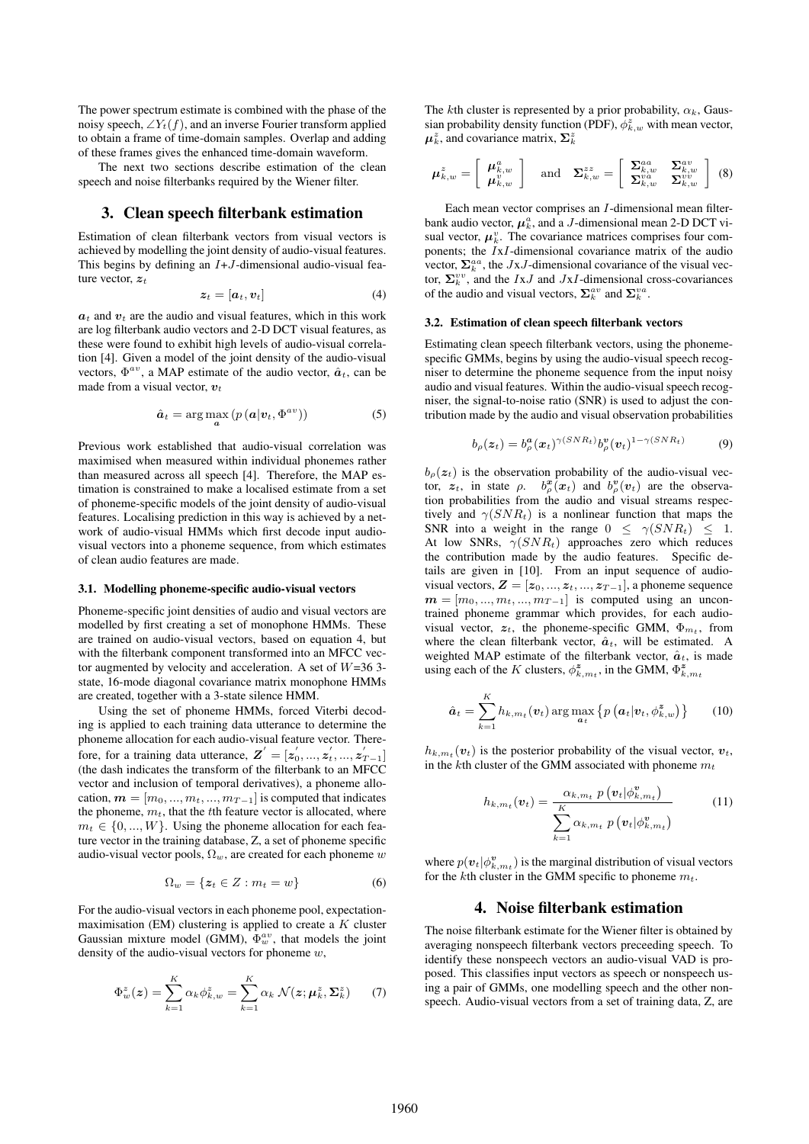The power spectrum estimate is combined with the phase of the noisy speech,  $\angle Y_t(f)$ , and an inverse Fourier transform applied to obtain a frame of time-domain samples. Overlap and adding of these frames gives the enhanced time-domain waveform.

The next two sections describe estimation of the clean speech and noise filterbanks required by the Wiener filter.

### 3. Clean speech filterbank estimation

Estimation of clean filterbank vectors from visual vectors is achieved by modelling the joint density of audio-visual features. This begins by defining an  $I+J$ -dimensional audio-visual feature vector,  $z_t$ 

$$
\boldsymbol{z}_t = [\boldsymbol{a}_t, \boldsymbol{v}_t] \tag{4}
$$

 $a_t$  and  $v_t$  are the audio and visual features, which in this work are log filterbank audio vectors and 2-D DCT visual features, as these were found to exhibit high levels of audio-visual correlation [4]. Given a model of the joint density of the audio-visual vectors,  $\Phi^{av}$ , a MAP estimate of the audio vector,  $\hat{a}_t$ , can be made from a visual vector,  $v_t$ 

$$
\hat{\boldsymbol{a}}_t = \arg\max_{\boldsymbol{a}} \left( p\left(\boldsymbol{a}|\boldsymbol{v}_t, \boldsymbol{\Phi}^{av}\right)\right) \tag{5}
$$

Previous work established that audio-visual correlation was maximised when measured within individual phonemes rather than measured across all speech [4]. Therefore, the MAP estimation is constrained to make a localised estimate from a set of phoneme-specific models of the joint density of audio-visual features. Localising prediction in this way is achieved by a network of audio-visual HMMs which first decode input audiovisual vectors into a phoneme sequence, from which estimates of clean audio features are made.

#### 3.1. Modelling phoneme-specific audio-visual vectors

Phoneme-specific joint densities of audio and visual vectors are modelled by first creating a set of monophone HMMs. These are trained on audio-visual vectors, based on equation 4, but with the filterbank component transformed into an MFCC vector augmented by velocity and acceleration. A set of  $W=36$  3state, 16-mode diagonal covariance matrix monophone HMMs are created, together with a 3-state silence HMM.

Using the set of phoneme HMMs, forced Viterbi decoding is applied to each training data utterance to determine the phoneme allocation for each audio-visual feature vector. Therefore, for a training data utterance,  $Z' = [z'_0, ..., z'_t, ..., z'_{T-1}]$ (the dash indicates the transform of the filterbank to an MFCC vector and inclusion of temporal derivatives), a phoneme allocation,  $\mathbf{m} = [m_0, ..., m_t, ..., m_{T-1}]$  is computed that indicates the phoneme,  $m_t$ , that the tth feature vector is allocated, where  $m_t \in \{0, ..., W\}$ . Using the phoneme allocation for each feature vector in the training database, Z, a set of phoneme specific audio-visual vector pools,  $\Omega_w$ , are created for each phoneme w

$$
\Omega_w = \{ z_t \in Z : m_t = w \}
$$
 (6)

For the audio-visual vectors in each phoneme pool, expectationmaximisation (EM) clustering is applied to create a  $K$  cluster Gaussian mixture model (GMM),  $\Phi_w^{av}$ , that models the joint density of the audio-visual vectors for phoneme  $w$ ,

$$
\Phi_w^z(\boldsymbol{z}) = \sum_{k=1}^K \alpha_k \phi_{k,w}^z = \sum_{k=1}^K \alpha_k \ \mathcal{N}(\boldsymbol{z}; \boldsymbol{\mu}_k^z, \boldsymbol{\Sigma}_k^z) \tag{7}
$$

The kth cluster is represented by a prior probability,  $\alpha_k$ , Gaussian probability density function (PDF),  $\overline{\phi}_{k,w}^z$  with mean vector,  $\mu_k^z$ , and covariance matrix,  $\Sigma_k^z$ 

$$
\boldsymbol{\mu}_{k,w}^z = \left[ \begin{array}{c} \boldsymbol{\mu}_{k,w}^a \\ \boldsymbol{\mu}_{k,w}^v \end{array} \right] \quad \text{and} \quad \boldsymbol{\Sigma}_{k,w}^{zz} = \left[ \begin{array}{cc} \boldsymbol{\Sigma}_{k,w}^{aa} & \boldsymbol{\Sigma}_{k,w}^{av} \\ \boldsymbol{\Sigma}_{k,w}^{va} & \boldsymbol{\Sigma}_{k,w}^{vv} \end{array} \right] (8)
$$

Each mean vector comprises an I-dimensional mean filterbank audio vector,  $\mu_k^a$ , and a *J*-dimensional mean 2-D DCT visual vector,  $\mu_k^v$ . The covariance matrices comprises four components; the IxI-dimensional covariance matrix of the audio vector,  $\Sigma_k^{aa}$ , the JxJ-dimensional covariance of the visual vector,  $\Sigma_k^{vv}$ , and the *IxJ* and *JxI*-dimensional cross-covariances of the audio and visual vectors,  $\Sigma_k^{av}$  and  $\Sigma_k^{va}$ .

#### 3.2. Estimation of clean speech filterbank vectors

Estimating clean speech filterbank vectors, using the phonemespecific GMMs, begins by using the audio-visual speech recogniser to determine the phoneme sequence from the input noisy audio and visual features. Within the audio-visual speech recogniser, the signal-to-noise ratio (SNR) is used to adjust the contribution made by the audio and visual observation probabilities

$$
b_{\rho}(z_t) = b_{\rho}^{\mathbf{a}}(x_t)^{\gamma(SNR_t)} b_{\rho}^{\mathbf{v}}(v_t)^{1-\gamma(SNR_t)}
$$
(9)

 $b<sub>o</sub>(z<sub>t</sub>)$  is the observation probability of the audio-visual vector,  $z_t$ , in state  $\rho$ .  $b^x_\rho(x_t)$  and  $b^v_\rho(v_t)$  are the observation probabilities from the audio and visual streams respectively and  $\gamma(SNR_t)$  is a nonlinear function that maps the SNR into a weight in the range  $0 \leq \gamma(SNR_t) \leq 1$ . At low SNRs,  $\gamma(SNR_t)$  approaches zero which reduces the contribution made by the audio features. Specific details are given in [10]. From an input sequence of audiovisual vectors,  $\mathbf{Z} = [\mathbf{z}_0, ..., \mathbf{z}_t, ..., \mathbf{z}_{T-1}]$ , a phoneme sequence  $m = [m_0, ..., m_t, ..., m_{T-1}]$  is computed using an uncontrained phoneme grammar which provides, for each audiovisual vector,  $z_t$ , the phoneme-specific GMM,  $\Phi_{m_t}$ , from where the clean filterbank vector,  $\hat{a}_t$ , will be estimated. A weighted MAP estimate of the filterbank vector,  $\hat{a}_t$ , is made using each of the K clusters,  $\phi_{k,m_t}^{\mathbf{z}}$ , in the GMM,  $\Phi_{k,m_t}^{\mathbf{z}}$ 

$$
\hat{a}_t = \sum_{k=1}^K h_{k,m_t}(v_t) \arg \max_{a_t} \left\{ p\left(a_t|v_t, \phi_{k,w}^z\right) \right\} \qquad (10)
$$

 $h_{k,m_t}(v_t)$  is the posterior probability of the visual vector,  $v_t$ , in the kth cluster of the GMM associated with phoneme  $m_t$ 

$$
h_{k,m_t}(\boldsymbol{v}_t) = \frac{\alpha_{k,m_t} p(\boldsymbol{v}_t | \phi_{k,m_t}^{\boldsymbol{v}})}{\sum_{k=1}^{K} \alpha_{k,m_t} p(\boldsymbol{v}_t | \phi_{k,m_t}^{\boldsymbol{v}})}
$$
(11)

where  $p(\boldsymbol{v}_t|\phi_{k,m_t}^{\boldsymbol{v}})$  is the marginal distribution of visual vectors for the kth cluster in the GMM specific to phoneme  $m_t$ .

## 4. Noise filterbank estimation

The noise filterbank estimate for the Wiener filter is obtained by averaging nonspeech filterbank vectors preceeding speech. To identify these nonspeech vectors an audio-visual VAD is proposed. This classifies input vectors as speech or nonspeech using a pair of GMMs, one modelling speech and the other nonspeech. Audio-visual vectors from a set of training data, Z, are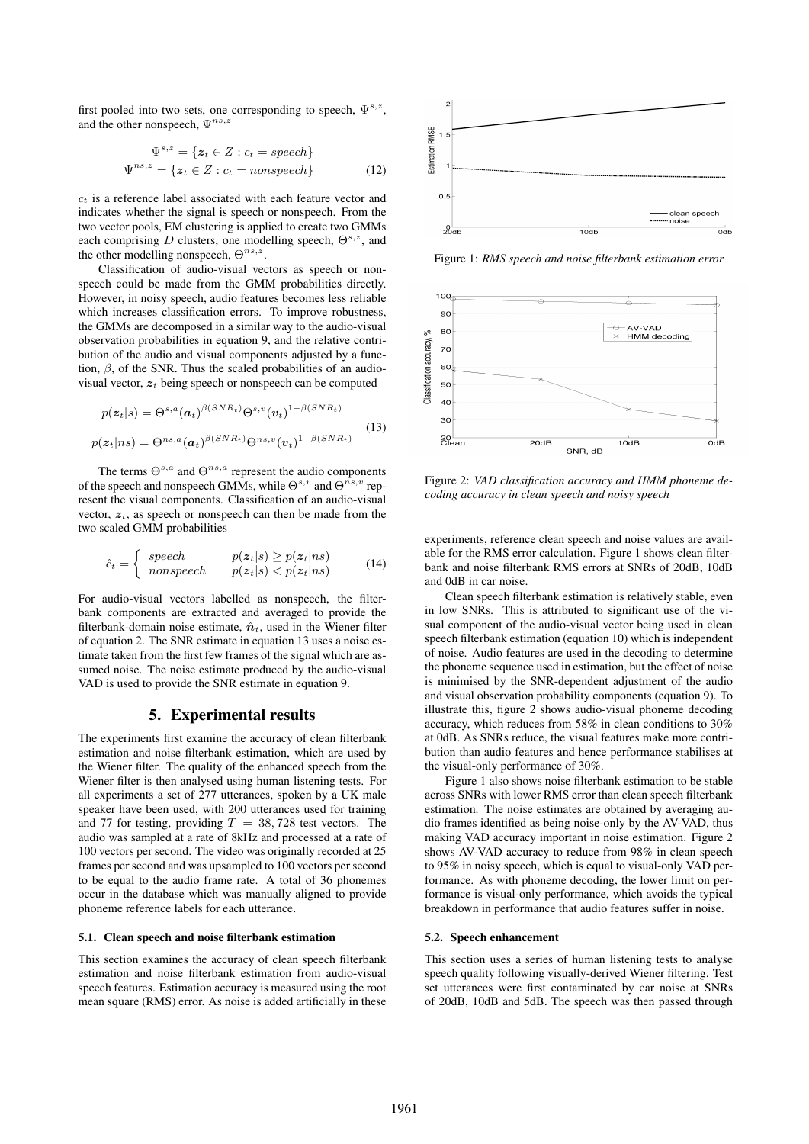first pooled into two sets, one corresponding to speech,  $\Psi^{s,z}$ , and the other nonspeech,  $\Psi^{ns,z}$ 

$$
\Psi^{s,z} = \{ z_t \in Z : c_t = speech \}
$$
  

$$
\Psi^{ns,z} = \{ z_t \in Z : c_t = nonspeech \}
$$
 (12)

 $c_t$  is a reference label associated with each feature vector and indicates whether the signal is speech or nonspeech. From the two vector pools, EM clustering is applied to create two GMMs each comprising  $D$  clusters, one modelling speech,  $\Theta^{s,z}$ , and the other modelling nonspeech,  $\Theta^{ns,z}$ .

Classification of audio-visual vectors as speech or nonspeech could be made from the GMM probabilities directly. However, in noisy speech, audio features becomes less reliable which increases classification errors. To improve robustness, the GMMs are decomposed in a similar way to the audio-visual observation probabilities in equation 9, and the relative contribution of the audio and visual components adjusted by a function,  $\beta$ , of the SNR. Thus the scaled probabilities of an audiovisual vector,  $z_t$  being speech or nonspeech can be computed

$$
p(\mathbf{z}_t|s) = \Theta^{s,a}(\mathbf{a}_t)^{\beta(SNR_t)} \Theta^{s,v}(\mathbf{v}_t)^{1-\beta(SNR_t)}
$$
  

$$
p(\mathbf{z}_t|ns) = \Theta^{ns,a}(\mathbf{a}_t)^{\beta(SNR_t)} \Theta^{ns,v}(\mathbf{v}_t)^{1-\beta(SNR_t)}
$$
 (13)

The terms  $\Theta^{s,a}$  and  $\Theta^{ns,a}$  represent the audio components of the speech and nonspeech GMMs, while  $\Theta^{s,v}$  and  $\Theta^{ns,v}$  represent the visual components. Classification of an audio-visual vector,  $z_t$ , as speech or nonspeech can then be made from the two scaled GMM probabilities

$$
\hat{c}_t = \begin{cases}\n\text{ speech} & p(\mathbf{z}_t|s) \ge p(\mathbf{z}_t|ns) \\
\text{nonspeech} & p(\mathbf{z}_t|s) < p(\mathbf{z}_t|ns)\n\end{cases} \tag{14}
$$

For audio-visual vectors labelled as nonspeech, the filterbank components are extracted and averaged to provide the filterbank-domain noise estimate,  $\hat{n}_t$ , used in the Wiener filter of equation 2. The SNR estimate in equation 13 uses a noise estimate taken from the first few frames of the signal which are assumed noise. The noise estimate produced by the audio-visual VAD is used to provide the SNR estimate in equation 9.

## 5. Experimental results

The experiments first examine the accuracy of clean filterbank estimation and noise filterbank estimation, which are used by the Wiener filter. The quality of the enhanced speech from the Wiener filter is then analysed using human listening tests. For all experiments a set of 277 utterances, spoken by a UK male speaker have been used, with 200 utterances used for training and 77 for testing, providing  $T = 38,728$  test vectors. The audio was sampled at a rate of 8kHz and processed at a rate of 100 vectors per second. The video was originally recorded at 25 frames per second and was upsampled to 100 vectors per second to be equal to the audio frame rate. A total of 36 phonemes occur in the database which was manually aligned to provide phoneme reference labels for each utterance.

#### 5.1. Clean speech and noise filterbank estimation

This section examines the accuracy of clean speech filterbank estimation and noise filterbank estimation from audio-visual speech features. Estimation accuracy is measured using the root mean square (RMS) error. As noise is added artificially in these



Figure 1: *RMS speech and noise filterbank estimation error*



Figure 2: *VAD classification accuracy and HMM phoneme decoding accuracy in clean speech and noisy speech*

experiments, reference clean speech and noise values are available for the RMS error calculation. Figure 1 shows clean filterbank and noise filterbank RMS errors at SNRs of 20dB, 10dB and 0dB in car noise.

Clean speech filterbank estimation is relatively stable, even in low SNRs. This is attributed to significant use of the visual component of the audio-visual vector being used in clean speech filterbank estimation (equation 10) which is independent of noise. Audio features are used in the decoding to determine the phoneme sequence used in estimation, but the effect of noise is minimised by the SNR-dependent adjustment of the audio and visual observation probability components (equation 9). To illustrate this, figure 2 shows audio-visual phoneme decoding accuracy, which reduces from 58% in clean conditions to 30% at 0dB. As SNRs reduce, the visual features make more contribution than audio features and hence performance stabilises at the visual-only performance of 30%.

Figure 1 also shows noise filterbank estimation to be stable across SNRs with lower RMS error than clean speech filterbank estimation. The noise estimates are obtained by averaging audio frames identified as being noise-only by the AV-VAD, thus making VAD accuracy important in noise estimation. Figure 2 shows AV-VAD accuracy to reduce from 98% in clean speech to 95% in noisy speech, which is equal to visual-only VAD performance. As with phoneme decoding, the lower limit on performance is visual-only performance, which avoids the typical breakdown in performance that audio features suffer in noise.

#### 5.2. Speech enhancement

This section uses a series of human listening tests to analyse speech quality following visually-derived Wiener filtering. Test set utterances were first contaminated by car noise at SNRs of 20dB, 10dB and 5dB. The speech was then passed through